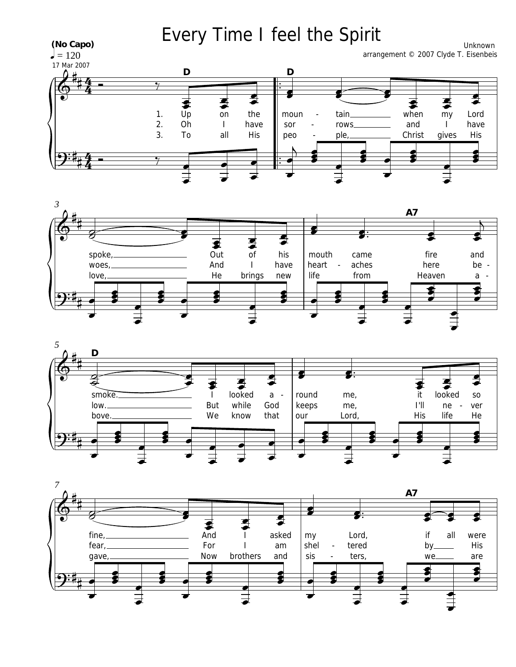